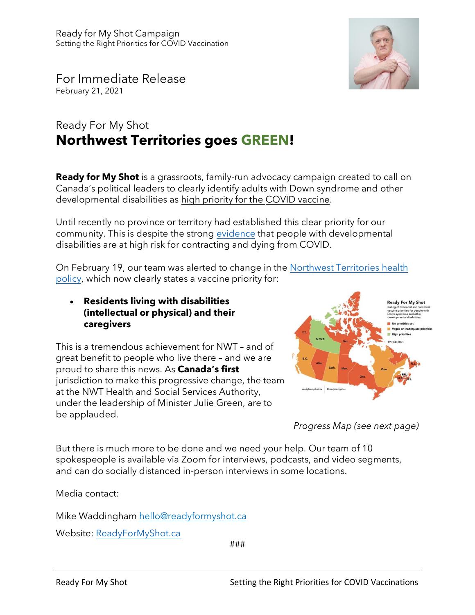

For Immediate Release February 21, 2021

## Ready For My Shot **Northwest Territories goes GREEN!**

**Ready for My Shot** is a grassroots, family-run advocacy campaign created to call on Canada's political leaders to clearly identify adults with Down syndrome and other developmental disabilities as high priority for the COVID vaccine.

Until recently no province or territory had established this clear priority for our community. This is despite the strong [evidence](https://www.porticonetwork.ca/web/hcardd/news/-/blogs/research-evidence-regarding-covid-19-and-developmental-disabilities) that people with developmental disabilities are at high risk for contracting and dying from COVID.

[On February 19, our team was alerted to change in the Northwest Territories health](https://www.nthssa.ca/en/newsroom/public-notice-update-first-and-second-dose-yk-clinics) policy, which now clearly states a vaccine priority for:

• **Residents living with disabilities (intellectual or physical) and their caregivers**

This is a tremendous achievement for NWT – and of great benefit to people who live there – and we are proud to share this news. As **Canada's first** jurisdiction to make this progressive change, the team at the NWT Health and Social Services Authority, under the leadership of Minister Julie Green, are to be applauded.



*Progress Map (see next page)*

But there is much more to be done and we need your help. Our team of 10 spokespeople is available via Zoom for interviews, podcasts, and video segments, and can do socially distanced in-person interviews in some locations.

Media contact:

Mike Waddingham hello@readyformyshot.ca

Website: [ReadyForMyShot.ca](https://readyformyshot.ca)

###